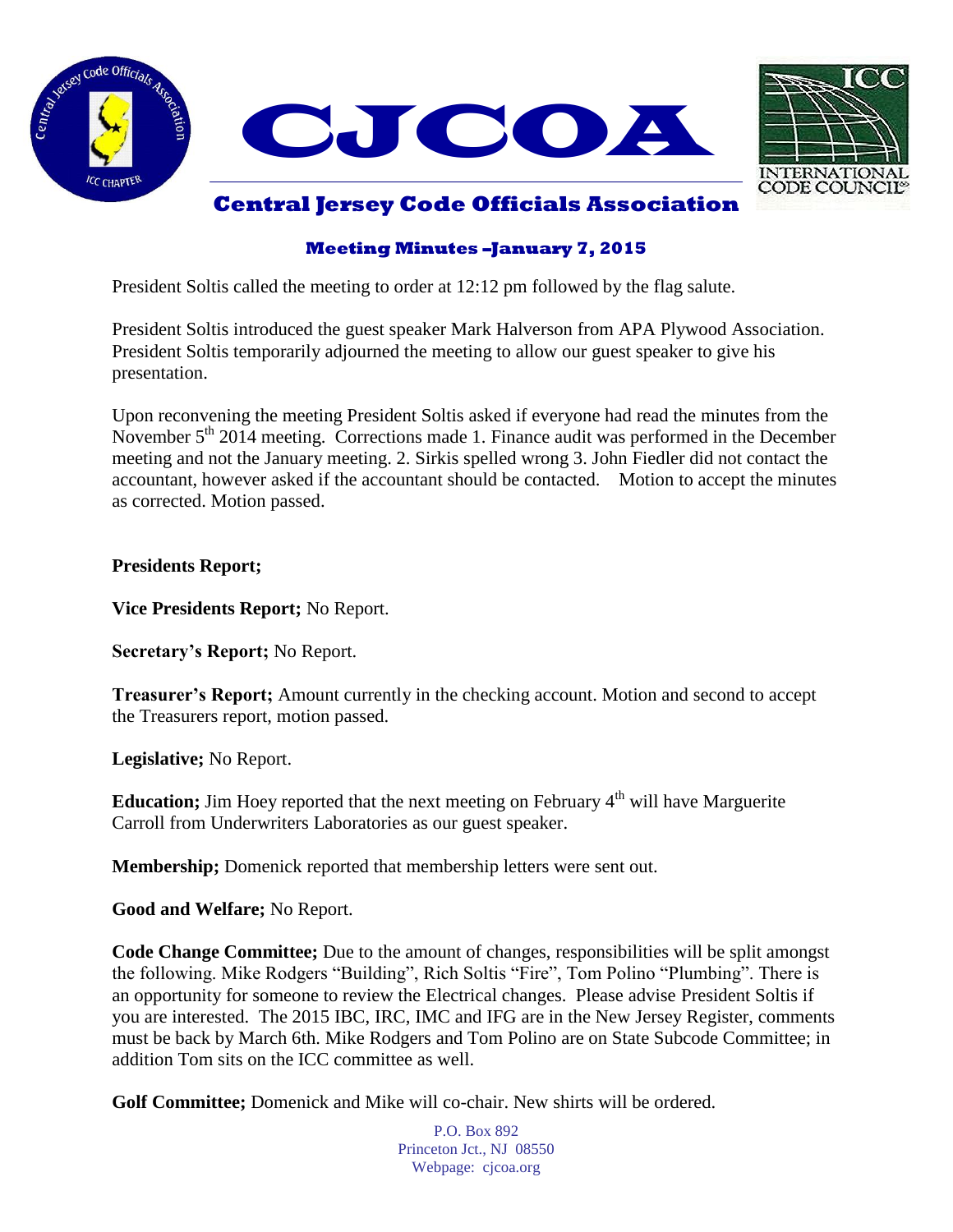



## **Central Jersey Code Officials Association**

## **Meeting Minutes –January 7, 2015**

President Soltis called the meeting to order at 12:12 pm followed by the flag salute.

President Soltis introduced the guest speaker Mark Halverson from APA Plywood Association. President Soltis temporarily adjourned the meeting to allow our guest speaker to give his presentation.

Upon reconvening the meeting President Soltis asked if everyone had read the minutes from the November  $5<sup>th</sup> 2014$  meeting. Corrections made 1. Finance audit was performed in the December meeting and not the January meeting. 2. Sirkis spelled wrong 3. John Fiedler did not contact the accountant, however asked if the accountant should be contacted. Motion to accept the minutes as corrected. Motion passed.

**Presidents Report;**

**Vice Presidents Report;** No Report.

**Secretary's Report;** No Report.

**Treasurer's Report;** Amount currently in the checking account. Motion and second to accept the Treasurers report, motion passed.

**Legislative;** No Report.

**Education;** Jim Hoey reported that the next meeting on February 4<sup>th</sup> will have Marguerite Carroll from Underwriters Laboratories as our guest speaker.

**Membership;** Domenick reported that membership letters were sent out.

**Good and Welfare;** No Report.

**Code Change Committee;** Due to the amount of changes, responsibilities will be split amongst the following. Mike Rodgers "Building", Rich Soltis "Fire", Tom Polino "Plumbing". There is an opportunity for someone to review the Electrical changes. Please advise President Soltis if you are interested. The 2015 IBC, IRC, IMC and IFG are in the New Jersey Register, comments must be back by March 6th. Mike Rodgers and Tom Polino are on State Subcode Committee; in addition Tom sits on the ICC committee as well.

**Golf Committee;** Domenick and Mike will co-chair. New shirts will be ordered.

P.O. Box 892 Princeton Jct., NJ 08550 Webpage: cjcoa.org